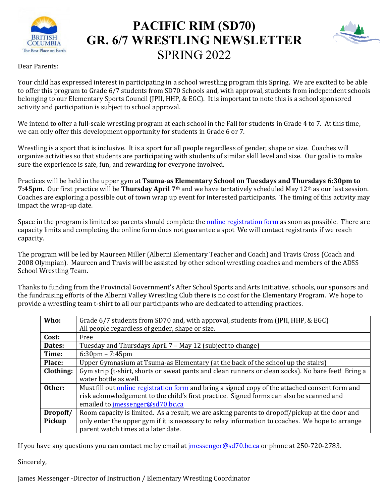

# **PACIFIC RIM (SD70) GR. 6/7 WRESTLING NEWSLETTER** SPRING 2022



Dear Parents:

Your child has expressed interest in participating in a school wrestling program this Spring. We are excited to be able to offer this program to Grade 6/7 students from SD70 Schools and, with approval, students from independent schools belonging to our Elementary Sports Council (JPII, HHP, & EGC). It is important to note this is a school sponsored activity and participation is subject to school approval.

We intend to offer a full-scale wrestling program at each school in the Fall for students in Grade 4 to 7. At this time, we can only offer this development opportunity for students in Grade 6 or 7.

Wrestling is a sport that is inclusive. It is a sport for all people regardless of gender, shape or size. Coaches will organize activities so that students are participating with students of similar skill level and size. Our goal is to make sure the experience is safe, fun, and rewarding for everyone involved.

Practices will be held in the upper gym at **Tsuma-as Elementary School on Tuesdays and Thursdays 6:30pm to 7:45pm.** Our first practice will be **Thursday April 7th** and we have tentatively scheduled May 12th as our last session. Coaches are exploring a possible out of town wrap up event for interested participants. The timing of this activity may impact the wrap-up date.

Space in the program is limited so parents should complete the **online registration form** as soon as possible. There are capacity limits and completing the online form does not guarantee a spot We will contact registrants if we reach capacity.

The program will be led by Maureen Miller (Alberni Elementary Teacher and Coach) and Travis Cross (Coach and 2008 Olympian). Maureen and Travis will be assisted by other school wrestling coaches and members of the ADSS School Wrestling Team.

Thanks to funding from the Provincial Government's After School Sports and Arts Initiative, schools, our sponsors and the fundraising efforts of the Alberni Valley Wrestling Club there is no cost for the Elementary Program. We hope to provide a wrestling team t-shirt to all our participants who are dedicated to attending practices.

| Who:      | Grade 6/7 students from SD70 and, with approval, students from (JPII, HHP, & EGC)                      |
|-----------|--------------------------------------------------------------------------------------------------------|
|           |                                                                                                        |
|           | All people regardless of gender, shape or size.                                                        |
| Cost:     | Free                                                                                                   |
| Dates:    | Tuesday and Thursdays April 7 - May 12 (subject to change)                                             |
| Time:     | $6:30 \text{pm} - 7:45 \text{pm}$                                                                      |
| Place:    | Upper Gymnasium at Tsuma-as Elementary (at the back of the school up the stairs)                       |
| Clothing: | Gym strip (t-shirt, shorts or sweat pants and clean runners or clean socks). No bare feet! Bring a     |
|           | water bottle as well.                                                                                  |
| Other:    | Must fill out <u>online registration form</u> and bring a signed copy of the attached consent form and |
|           | risk acknowledgement to the child's first practice. Signed forms can also be scanned and               |
|           | emailed to jmessenger@sd70.bc.ca                                                                       |
| Dropoff/  | Room capacity is limited. As a result, we are asking parents to dropoff/pickup at the door and         |
| Pickup    | only enter the upper gym if it is necessary to relay information to coaches. We hope to arrange        |
|           | parent watch times at a later date.                                                                    |

If you have any questions you can contact me by email at <u>jmessenger@sd70.bc.ca</u> or phone at 250-720-2783.

Sincerely,

James Messenger -Director of Instruction / Elementary Wrestling Coordinator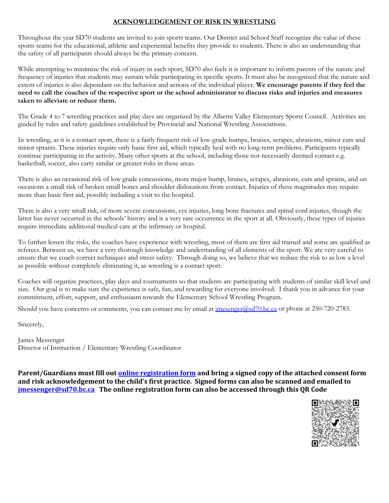## **ACKNOWLEDGEMENT OF RISK IN WRESTLING**

Throughout the year SD70 students are invited to join sports teams. Our District and School Staff recognize the value of these sports teams for the educational, athletic and experiential benefits they provide to students. There is also an understanding that the safety of all participants should always be the primary concern.

While attempting to minimize the risk of injury in each sport, SD70 also feels it is important to inform parents of the nature and frequency of injuries that students may sustain while participating in specific sports. It must also be recognized that the nature and extent of injuries is also dependant on the behavior and actions of the individual player. **We encourage parents if they feel the need to call the coaches of the respective sport or the school administrator to discuss risks and injuries and measures taken to alleviate or reduce them.**

The Grade 4 to 7 wrestling practices and play days are organized by the Alberni Valley Elementary Sports Council. Activities are guided by rules and safety guidelines established by Provincial and National Wrestling Associations.

In wrestling, as it is a contact sport, there is a fairly frequent risk of low-grade bumps, bruises, scrapes, abrasions, minor cuts and minor sprains. These injuries require only basic first aid, which typically heal with no long-term problems. Participants typically continue participating in the activity. Many other sports at the school, including those not necessarily deemed contact e.g. basketball, soccer, also carry similar or greater risks in these areas.

There is also an occasional risk of low grade concussions, more major bump, bruises, scrapes, abrasions, cuts and sprains, and on occasions a small risk of broken small bones and shoulder dislocations from contact. Injuries of these magnitudes may require more than basic first aid, possibly including a visit to the hospital.

There is also a very small risk, of more severe concussions, eye injuries, long bone fractures and spinal cord injuries, though the latter has never occurred in the schools' history and is a very rare occurrence in the sport at all. Obviously, these types of injuries require immediate additional medical care at the infirmary or hospital.

To further lessen the risks, the coaches have experience with wrestling, most of them are first aid trained and some are qualified as referees. Between us, we have a very thorough knowledge and understanding of all elements of the sport. We are very careful to ensure that we coach correct techniques and stress safety. Through doing so, we believe that we reduce the risk to as low a level as possible without completely eliminating it, as wrestling is a contact sport.

Coaches will organize practices, play days and tournaments so that students are participating with students of similar skill level and size. Our goal is to make sure the experience is safe, fun, and rewarding for everyone involved. I thank you in advance for your commitment, effort, support, and enthusiasm towards the Elementary School Wrestling Program.

Should you have concerns or comments, you can contact me by email at *imesenger@sd70.bc.ca* or phone at 250-720-2783.

Sincerely,

James Messenger Director of Instruction / Elementary Wrestling Coordinator

**Parent/Guardians must fill out [online registration form](https://forms.office.com/r/WD8Z5HGRbx) and bring a signed copy of the attached consent form and risk acknowledgement to the child's first practice. Signed forms can also be scanned and emailed to [jmessenger@sd70.bc.ca](mailto:jmessenger@sd70.bc.ca) The online registration form can also be accessed through this QR Code**